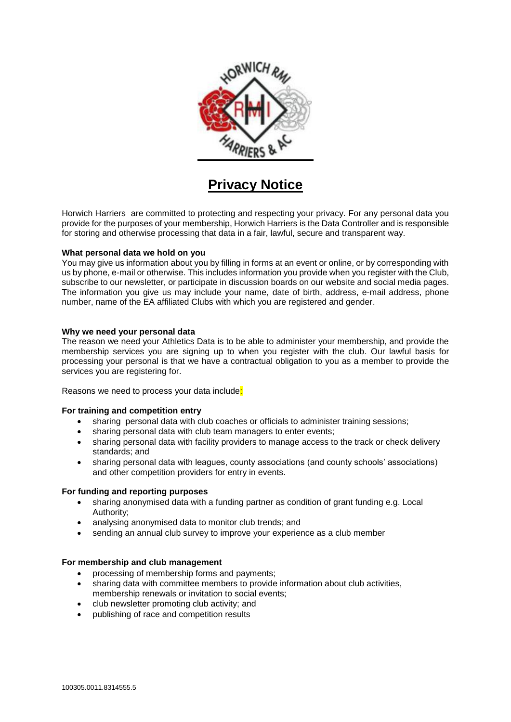

# **Privacy Notice**

Horwich Harriers are committed to protecting and respecting your privacy. For any personal data you provide for the purposes of your membership, Horwich Harriers is the Data Controller and is responsible for storing and otherwise processing that data in a fair, lawful, secure and transparent way.

## **What personal data we hold on you**

You may give us information about you by filling in forms at an event or online, or by corresponding with us by phone, e-mail or otherwise. This includes information you provide when you register with the Club, subscribe to our newsletter, or participate in discussion boards on our website and social media pages. The information you give us may include your name, date of birth, address, e-mail address, phone number, name of the EA affiliated Clubs with which you are registered and gender.

## **Why we need your personal data**

The reason we need your Athletics Data is to be able to administer your membership, and provide the membership services you are signing up to when you register with the club. Our lawful basis for processing your personal is that we have a contractual obligation to you as a member to provide the services you are registering for.

Reasons we need to process your data include:

## **For training and competition entry**

- sharing personal data with club coaches or officials to administer training sessions;
- sharing personal data with club team managers to enter events;
- sharing personal data with facility providers to manage access to the track or check delivery standards; and
- sharing personal data with leagues, county associations (and county schools' associations) and other competition providers for entry in events.

## **For funding and reporting purposes**

- sharing anonymised data with a funding partner as condition of grant funding e.g. Local Authority;
- analysing anonymised data to monitor club trends; and
- sending an annual club survey to improve your experience as a club member

## **For membership and club management**

- processing of membership forms and payments;
- sharing data with committee members to provide information about club activities, membership renewals or invitation to social events;
- club newsletter promoting club activity; and
- publishing of race and competition results